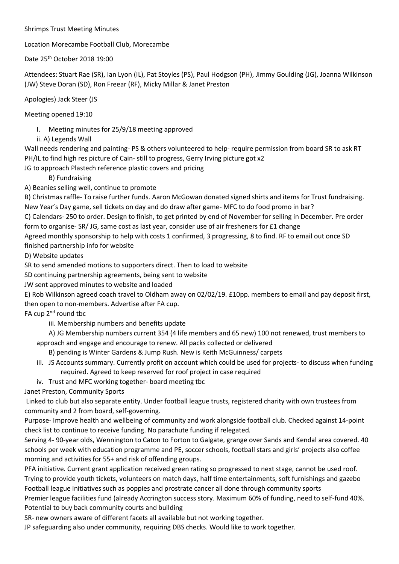## Shrimps Trust Meeting Minutes

Location Morecambe Football Club, Morecambe

Date 25th October 2018 19:00

Attendees: Stuart Rae (SR), Ian Lyon (IL), Pat Stoyles (PS), Paul Hodgson (PH), Jimmy Goulding (JG), Joanna Wilkinson (JW) Steve Doran (SD), Ron Freear (RF), Micky Millar & Janet Preston

Apologies) Jack Steer (JS

Meeting opened 19:10

I. Meeting minutes for 25/9/18 meeting approved

ii. A) Legends Wall

Wall needs rendering and painting- PS & others volunteered to help- require permission from board SR to ask RT PH/IL to find high res picture of Cain- still to progress, Gerry Irving picture got x2

JG to approach Plastech reference plastic covers and pricing

B) Fundraising

A) Beanies selling well, continue to promote

B) Christmas raffle- To raise further funds. Aaron McGowan donated signed shirts and items for Trust fundraising. New Year's Day game, sell tickets on day and do draw after game- MFC to do food promo in bar?

C) Calendars- 250 to order. Design to finish, to get printed by end of November for selling in December. Pre order form to organise- SR/ JG, same cost as last year, consider use of air fresheners for £1 change

Agreed monthly sponsorship to help with costs 1 confirmed, 3 progressing, 8 to find. RF to email out once SD finished partnership info for website

D) Website updates

SR to send amended motions to supporters direct. Then to load to website

SD continuing partnership agreements, being sent to website

JW sent approved minutes to website and loaded

E) Rob Wilkinson agreed coach travel to Oldham away on 02/02/19. £10pp. members to email and pay deposit first, then open to non-members. Advertise after FA cup.

FA cup  $2^{nd}$  round tbc

iii. Membership numbers and benefits update

A) JG Membership numbers current 354 (4 life members and 65 new) 100 not renewed, trust members to approach and engage and encourage to renew. All packs collected or delivered

B) pending is Winter Gardens & Jump Rush. New is Keith McGuinness/ carpets

- iii. JS Accounts summary. Currently profit on account which could be used for projects- to discuss when funding required. Agreed to keep reserved for roof project in case required
- iv. Trust and MFC working together- board meeting tbc

Janet Preston, Community Sports

Linked to club but also separate entity. Under football league trusts, registered charity with own trustees from community and 2 from board, self-governing.

Purpose- Improve health and wellbeing of community and work alongside football club. Checked against 14-point check list to continue to receive funding. No parachute funding if relegated.

Serving 4- 90-year olds, Wennington to Caton to Forton to Galgate, grange over Sands and Kendal area covered. 40 schools per week with education programme and PE, soccer schools, football stars and girls' projects also coffee morning and activities for 55+ and risk of offending groups.

PFA initiative. Current grant application received green rating so progressed to next stage, cannot be used roof. Trying to provide youth tickets, volunteers on match days, half time entertainments, soft furnishings and gazebo Football league initiatives such as poppies and prostrate cancer all done through community sports

Premier league facilities fund (already Accrington success story. Maximum 60% of funding, need to self-fund 40%. Potential to buy back community courts and building

SR- new owners aware of different facets all available but not working together.

JP safeguarding also under community, requiring DBS checks. Would like to work together.